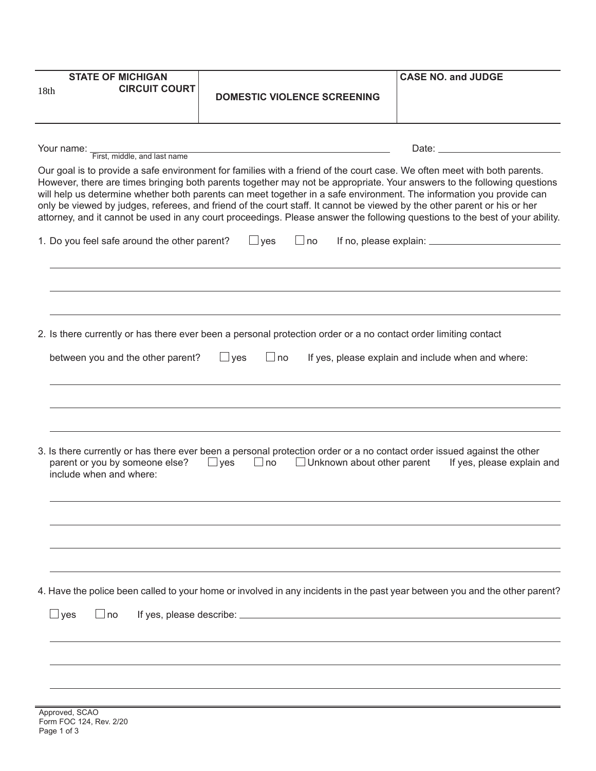| <b>STATE OF MICHIGAN</b>                                                                                                                                                                                                                            |                                                                                                                             | <b>CASE NO. and JUDGE</b>                          |  |  |  |
|-----------------------------------------------------------------------------------------------------------------------------------------------------------------------------------------------------------------------------------------------------|-----------------------------------------------------------------------------------------------------------------------------|----------------------------------------------------|--|--|--|
| <b>CIRCUIT COURT</b><br>18 <sub>th</sub>                                                                                                                                                                                                            | <b>DOMESTIC VIOLENCE SCREENING</b>                                                                                          |                                                    |  |  |  |
|                                                                                                                                                                                                                                                     |                                                                                                                             |                                                    |  |  |  |
|                                                                                                                                                                                                                                                     |                                                                                                                             |                                                    |  |  |  |
|                                                                                                                                                                                                                                                     |                                                                                                                             |                                                    |  |  |  |
|                                                                                                                                                                                                                                                     | Your name: First, middle, and last name                                                                                     |                                                    |  |  |  |
| Our goal is to provide a safe environment for families with a friend of the court case. We often meet with both parents.<br>However, there are times bringing both parents together may not be appropriate. Your answers to the following questions |                                                                                                                             |                                                    |  |  |  |
| will help us determine whether both parents can meet together in a safe environment. The information you provide can                                                                                                                                |                                                                                                                             |                                                    |  |  |  |
| only be viewed by judges, referees, and friend of the court staff. It cannot be viewed by the other parent or his or her                                                                                                                            |                                                                                                                             |                                                    |  |  |  |
| attorney, and it cannot be used in any court proceedings. Please answer the following questions to the best of your ability.                                                                                                                        |                                                                                                                             |                                                    |  |  |  |
| 1. Do you feel safe around the other parent?                                                                                                                                                                                                        | $\Box$ yes<br>$\Box$ no                                                                                                     |                                                    |  |  |  |
|                                                                                                                                                                                                                                                     |                                                                                                                             |                                                    |  |  |  |
|                                                                                                                                                                                                                                                     |                                                                                                                             |                                                    |  |  |  |
|                                                                                                                                                                                                                                                     |                                                                                                                             |                                                    |  |  |  |
|                                                                                                                                                                                                                                                     |                                                                                                                             |                                                    |  |  |  |
|                                                                                                                                                                                                                                                     | 2. Is there currently or has there ever been a personal protection order or a no contact order limiting contact             |                                                    |  |  |  |
|                                                                                                                                                                                                                                                     |                                                                                                                             |                                                    |  |  |  |
| between you and the other parent?                                                                                                                                                                                                                   | $\Box$ yes<br>$\Box$ no                                                                                                     | If yes, please explain and include when and where: |  |  |  |
|                                                                                                                                                                                                                                                     |                                                                                                                             |                                                    |  |  |  |
|                                                                                                                                                                                                                                                     |                                                                                                                             |                                                    |  |  |  |
|                                                                                                                                                                                                                                                     |                                                                                                                             |                                                    |  |  |  |
|                                                                                                                                                                                                                                                     |                                                                                                                             |                                                    |  |  |  |
|                                                                                                                                                                                                                                                     | 3. Is there currently or has there ever been a personal protection order or a no contact order issued against the other     |                                                    |  |  |  |
| parent or you by someone else?                                                                                                                                                                                                                      | $\Box$ yes $\Box$ no $\Box$ Unknown about other parent If yes, please explain and                                           |                                                    |  |  |  |
| include when and where:                                                                                                                                                                                                                             |                                                                                                                             |                                                    |  |  |  |
|                                                                                                                                                                                                                                                     |                                                                                                                             |                                                    |  |  |  |
|                                                                                                                                                                                                                                                     |                                                                                                                             |                                                    |  |  |  |
|                                                                                                                                                                                                                                                     |                                                                                                                             |                                                    |  |  |  |
|                                                                                                                                                                                                                                                     |                                                                                                                             |                                                    |  |  |  |
|                                                                                                                                                                                                                                                     |                                                                                                                             |                                                    |  |  |  |
|                                                                                                                                                                                                                                                     |                                                                                                                             |                                                    |  |  |  |
|                                                                                                                                                                                                                                                     | 4. Have the police been called to your home or involved in any incidents in the past year between you and the other parent? |                                                    |  |  |  |
| $\Box$ yes<br>$\Box$ no                                                                                                                                                                                                                             |                                                                                                                             |                                                    |  |  |  |
|                                                                                                                                                                                                                                                     |                                                                                                                             |                                                    |  |  |  |
|                                                                                                                                                                                                                                                     |                                                                                                                             |                                                    |  |  |  |
|                                                                                                                                                                                                                                                     |                                                                                                                             |                                                    |  |  |  |
|                                                                                                                                                                                                                                                     |                                                                                                                             |                                                    |  |  |  |
|                                                                                                                                                                                                                                                     |                                                                                                                             |                                                    |  |  |  |
| Approved, SCAO                                                                                                                                                                                                                                      |                                                                                                                             |                                                    |  |  |  |
| Form FOC 124, Rev. 2/20<br>Page 1 of 3                                                                                                                                                                                                              |                                                                                                                             |                                                    |  |  |  |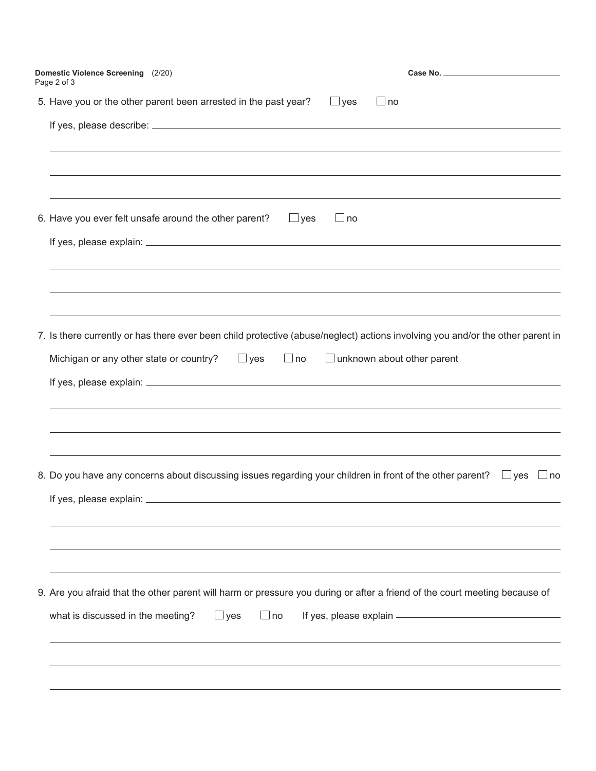| Domestic Violence Screening (2/20)<br>Page 2 of 3                                                                                 |
|-----------------------------------------------------------------------------------------------------------------------------------|
| 5. Have you or the other parent been arrested in the past year?<br>$\Box$ yes<br>$\Box$ no                                        |
|                                                                                                                                   |
|                                                                                                                                   |
| 6. Have you ever felt unsafe around the other parent?<br>$\Box$ yes<br>$\Box$ no                                                  |
|                                                                                                                                   |
|                                                                                                                                   |
| 7. Is there currently or has there ever been child protective (abuse/neglect) actions involving you and/or the other parent in    |
| Michigan or any other state or country?<br>$\Box$ yes<br>$\Box$ unknown about other parent<br>$\Box$ no                           |
|                                                                                                                                   |
|                                                                                                                                   |
| 8. Do you have any concerns about discussing issues regarding your children in front of the other parent? $\Box$ yes<br>$\Box$ no |
| If yes, please explain: _                                                                                                         |
|                                                                                                                                   |
| 9. Are you afraid that the other parent will harm or pressure you during or after a friend of the court meeting because of        |
| what is discussed in the meeting?<br>$\Box$ yes<br>no                                                                             |
|                                                                                                                                   |
|                                                                                                                                   |